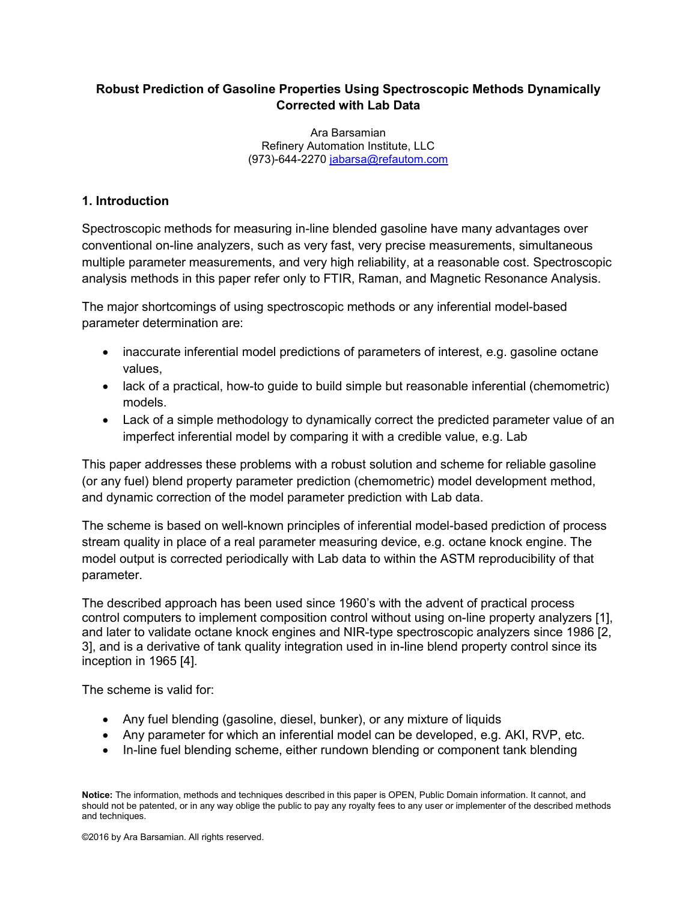# **Robust Prediction of Gasoline Properties Using Spectroscopic Methods Dynamically Corrected with Lab Data**

Ara Barsamian Refinery Automation Institute, LLC (973)-644-2270 [jabarsa@refautom.com](mailto:jabarsa@refautom.com)

## **1. Introduction**

Spectroscopic methods for measuring in-line blended gasoline have many advantages over conventional on-line analyzers, such as very fast, very precise measurements, simultaneous multiple parameter measurements, and very high reliability, at a reasonable cost. Spectroscopic analysis methods in this paper refer only to FTIR, Raman, and Magnetic Resonance Analysis.

The major shortcomings of using spectroscopic methods or any inferential model-based parameter determination are:

- inaccurate inferential model predictions of parameters of interest, e.g. gasoline octane values,
- lack of a practical, how-to guide to build simple but reasonable inferential (chemometric) models.
- Lack of a simple methodology to dynamically correct the predicted parameter value of an imperfect inferential model by comparing it with a credible value, e.g. Lab

This paper addresses these problems with a robust solution and scheme for reliable gasoline (or any fuel) blend property parameter prediction (chemometric) model development method, and dynamic correction of the model parameter prediction with Lab data.

The scheme is based on well-known principles of inferential model-based prediction of process stream quality in place of a real parameter measuring device, e.g. octane knock engine. The model output is corrected periodically with Lab data to within the ASTM reproducibility of that parameter.

The described approach has been used since 1960's with the advent of practical process control computers to implement composition control without using on-line property analyzers [1], and later to validate octane knock engines and NIR-type spectroscopic analyzers since 1986 [2, 3], and is a derivative of tank quality integration used in in-line blend property control since its inception in 1965 [4].

The scheme is valid for:

- Any fuel blending (gasoline, diesel, bunker), or any mixture of liquids
- Any parameter for which an inferential model can be developed, e.g. AKI, RVP, etc.
- In-line fuel blending scheme, either rundown blending or component tank blending

**Notice:** The information, methods and techniques described in this paper is OPEN, Public Domain information. It cannot, and should not be patented, or in any way oblige the public to pay any royalty fees to any user or implementer of the described methods and techniques.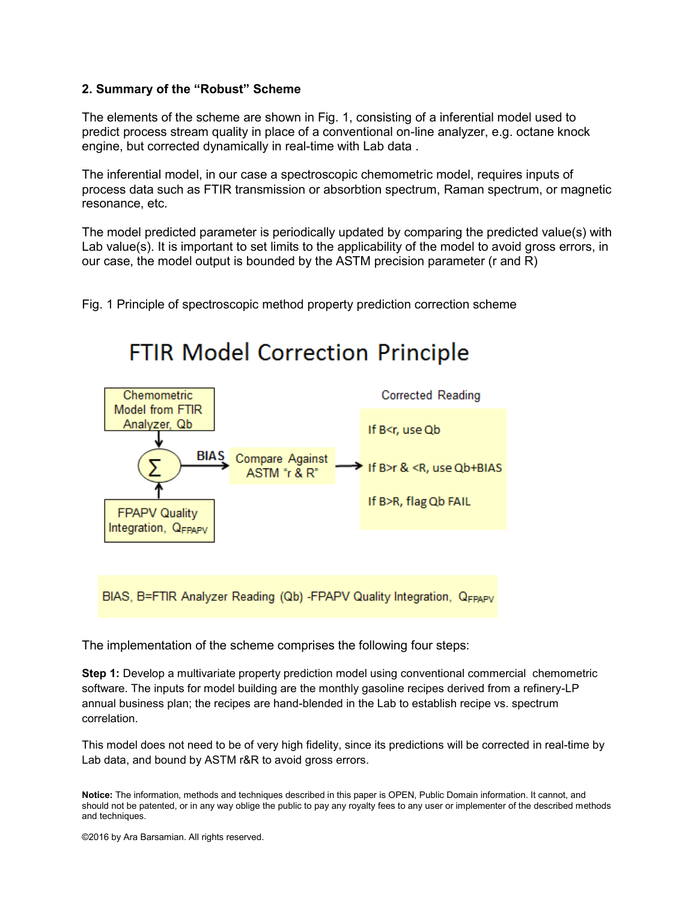#### **2. Summary of the "Robust" Scheme**

The elements of the scheme are shown in Fig. 1, consisting of a inferential model used to predict process stream quality in place of a conventional on-line analyzer, e.g. octane knock engine, but corrected dynamically in real-time with Lab data .

The inferential model, in our case a spectroscopic chemometric model, requires inputs of process data such as FTIR transmission or absorbtion spectrum, Raman spectrum, or magnetic resonance, etc.

The model predicted parameter is periodically updated by comparing the predicted value(s) with Lab value(s). It is important to set limits to the applicability of the model to avoid gross errors, in our case, the model output is bounded by the ASTM precision parameter (r and R)

Fig. 1 Principle of spectroscopic method property prediction correction scheme

**FTIR Model Correction Principle** 



BIAS, B=FTIR Analyzer Reading (Qb) -FPAPV Quality Integration, QFPAPV

The implementation of the scheme comprises the following four steps:

**Step 1:** Develop a multivariate property prediction model using conventional commercial chemometric software. The inputs for model building are the monthly gasoline recipes derived from a refinery-LP annual business plan; the recipes are hand-blended in the Lab to establish recipe vs. spectrum correlation.

This model does not need to be of very high fidelity, since its predictions will be corrected in real-time by Lab data, and bound by ASTM r&R to avoid gross errors.

**Notice:** The information, methods and techniques described in this paper is OPEN, Public Domain information. It cannot, and should not be patented, or in any way oblige the public to pay any royalty fees to any user or implementer of the described methods and techniques.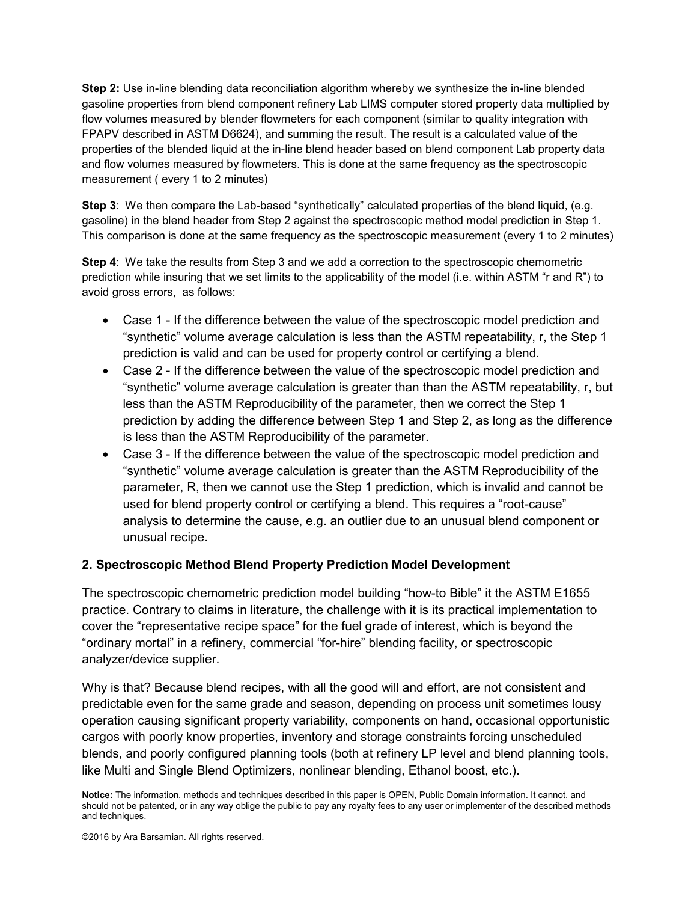**Step 2:** Use in-line blending data reconciliation algorithm whereby we synthesize the in-line blended gasoline properties from blend component refinery Lab LIMS computer stored property data multiplied by flow volumes measured by blender flowmeters for each component (similar to quality integration with FPAPV described in ASTM D6624), and summing the result. The result is a calculated value of the properties of the blended liquid at the in-line blend header based on blend component Lab property data and flow volumes measured by flowmeters. This is done at the same frequency as the spectroscopic measurement ( every 1 to 2 minutes)

**Step 3**: We then compare the Lab-based "synthetically" calculated properties of the blend liquid, (e.g. gasoline) in the blend header from Step 2 against the spectroscopic method model prediction in Step 1. This comparison is done at the same frequency as the spectroscopic measurement (every 1 to 2 minutes)

**Step 4:** We take the results from Step 3 and we add a correction to the spectroscopic chemometric prediction while insuring that we set limits to the applicability of the model (i.e. within ASTM "r and R") to avoid gross errors, as follows:

- Case 1 If the difference between the value of the spectroscopic model prediction and "synthetic" volume average calculation is less than the ASTM repeatability, r, the Step 1 prediction is valid and can be used for property control or certifying a blend.
- Case 2 If the difference between the value of the spectroscopic model prediction and "synthetic" volume average calculation is greater than than the ASTM repeatability, r, but less than the ASTM Reproducibility of the parameter, then we correct the Step 1 prediction by adding the difference between Step 1 and Step 2, as long as the difference is less than the ASTM Reproducibility of the parameter.
- Case 3 If the difference between the value of the spectroscopic model prediction and "synthetic" volume average calculation is greater than the ASTM Reproducibility of the parameter, R, then we cannot use the Step 1 prediction, which is invalid and cannot be used for blend property control or certifying a blend. This requires a "root-cause" analysis to determine the cause, e.g. an outlier due to an unusual blend component or unusual recipe.

#### **2. Spectroscopic Method Blend Property Prediction Model Development**

The spectroscopic chemometric prediction model building "how-to Bible" it the ASTM E1655 practice. Contrary to claims in literature, the challenge with it is its practical implementation to cover the "representative recipe space" for the fuel grade of interest, which is beyond the "ordinary mortal" in a refinery, commercial "for-hire" blending facility, or spectroscopic analyzer/device supplier.

Why is that? Because blend recipes, with all the good will and effort, are not consistent and predictable even for the same grade and season, depending on process unit sometimes lousy operation causing significant property variability, components on hand, occasional opportunistic cargos with poorly know properties, inventory and storage constraints forcing unscheduled blends, and poorly configured planning tools (both at refinery LP level and blend planning tools, like Multi and Single Blend Optimizers, nonlinear blending, Ethanol boost, etc.).

**Notice:** The information, methods and techniques described in this paper is OPEN, Public Domain information. It cannot, and should not be patented, or in any way oblige the public to pay any royalty fees to any user or implementer of the described methods and techniques.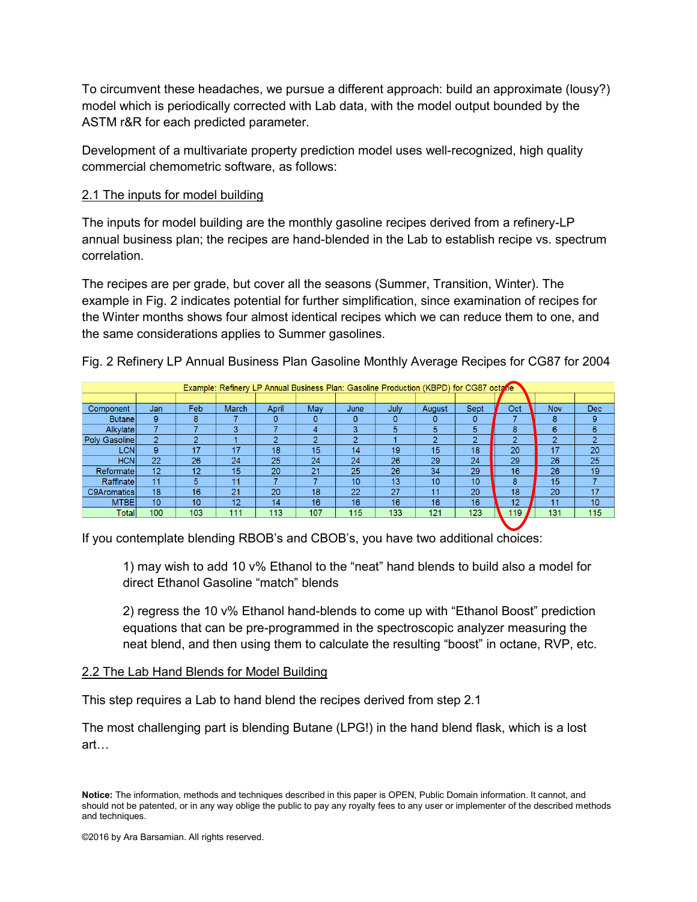To circumvent these headaches, we pursue a different approach: build an approximate (lousy?) model which is periodically corrected with Lab data, with the model output bounded by the ASTM r&R for each predicted parameter.

Development of a multivariate property prediction model uses well-recognized, high quality commercial chemometric software, as follows:

#### 2.1 The inputs for model building

The inputs for model building are the monthly gasoline recipes derived from a refinery-LP annual business plan; the recipes are hand-blended in the Lab to establish recipe vs. spectrum correlation.

The recipes are per grade, but cover all the seasons (Summer, Transition, Winter). The example in Fig. 2 indicates potential for further simplification, since examination of recipes for the Winter months shows four almost identical recipes which we can reduce them to one, and the same considerations applies to Summer gasolines.

| Example: Refinery LP Annual Business Plan: Gasoline Production (KBPD) for CG87 octatie |                |            |       |       |                   |      |      |        |      |                   |                   |            |
|----------------------------------------------------------------------------------------|----------------|------------|-------|-------|-------------------|------|------|--------|------|-------------------|-------------------|------------|
|                                                                                        |                |            |       |       |                   |      |      |        |      |                   |                   |            |
| Component                                                                              | Jan            | <b>Feb</b> | March | April | May               | June | July | August | Sept | Oct               | <b>Nov</b>        | <b>Dec</b> |
| <b>Butane</b>                                                                          | 9              | 8          |       | 0     | 0                 | 0    | 0    | 0      | 0    |                   | 8                 | 9          |
| Alkylatel                                                                              | ⇁              |            | 3     |       | 4                 | 3    | 5    | 5      | 5    | 8                 | 6                 | 6          |
| Poly Gasoline                                                                          | $\overline{2}$ | ◠          |       | ◠     | $\mathbf{\Omega}$ | o    |      | റ      | o    | $\mathbf{\Omega}$ | $\mathbf{\Omega}$ | $\bullet$  |
| <b>LCN</b>                                                                             | 9              | 17         | 17    | 18    | 15                | 14   | 19   | 15     | 18   | 20                | 17                | 20         |
| <b>HCN</b>                                                                             | 22             | 26         | 24    | 25    | 24                | 24   | 26   | 29     | 24   | 29                | 26                | 25         |
| Reformate                                                                              | 12             | 12         | 15    | 20    | 21                | 25   | 26   | 34     | 29   | 16                | 26                | 19         |
| Raffinate                                                                              | 11             | 5          | 11    |       |                   | 10   | 13   | 10     | 10   | 8                 | 15                |            |
| <b>C9Aromatics</b>                                                                     | 18             | 16         | 21    | 20    | 18                | 22   | 27   | 11     | 20   | 18                | 20                | 17         |
| <b>MTBE</b>                                                                            | 10             | 10         | 12    | 14    | 16                | 16   | 16   | 16     | 16   | 12                | 11                | 10         |
| Totall                                                                                 | 100            | 103        | 111   | 113   | 107               | 115  | 133  | 121    | 123  | 119               | 131               | 115        |

Fig. 2 Refinery LP Annual Business Plan Gasoline Monthly Average Recipes for CG87 for 2004

If you contemplate blending RBOB's and CBOB's, you have two additional choices:

1) may wish to add 10 v% Ethanol to the "neat" hand blends to build also a model for direct Ethanol Gasoline "match" blends

2) regress the 10 v% Ethanol hand-blends to come up with "Ethanol Boost" prediction equations that can be pre-programmed in the spectroscopic analyzer measuring the neat blend, and then using them to calculate the resulting "boost" in octane, RVP, etc.

#### 2.2 The Lab Hand Blends for Model Building

This step requires a Lab to hand blend the recipes derived from step 2.1

The most challenging part is blending Butane (LPG!) in the hand blend flask, which is a lost art…

**Notice:** The information, methods and techniques described in this paper is OPEN, Public Domain information. It cannot, and should not be patented, or in any way oblige the public to pay any royalty fees to any user or implementer of the described methods and techniques.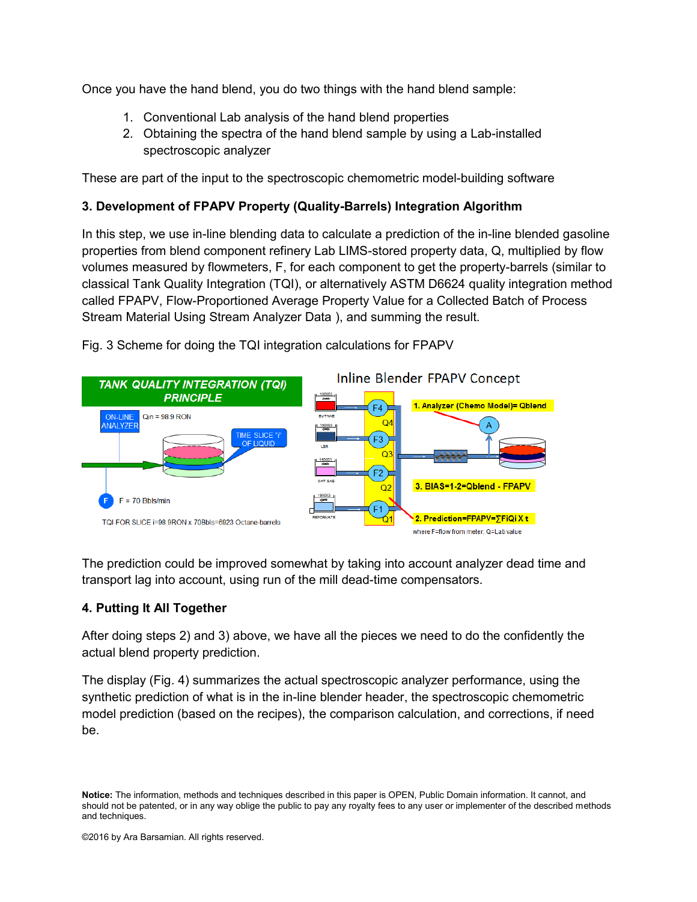Once you have the hand blend, you do two things with the hand blend sample:

- 1. Conventional Lab analysis of the hand blend properties
- 2. Obtaining the spectra of the hand blend sample by using a Lab-installed spectroscopic analyzer

These are part of the input to the spectroscopic chemometric model-building software

# **3. Development of FPAPV Property (Quality-Barrels) Integration Algorithm**

In this step, we use in-line blending data to calculate a prediction of the in-line blended gasoline properties from blend component refinery Lab LIMS-stored property data, Q, multiplied by flow volumes measured by flowmeters, F, for each component to get the property-barrels (similar to classical Tank Quality Integration (TQI), or alternatively ASTM D6624 quality integration method called FPAPV, Flow-Proportioned Average Property Value for a Collected Batch of Process Stream Material Using Stream Analyzer Data ), and summing the result.



Fig. 3 Scheme for doing the TQI integration calculations for FPAPV

The prediction could be improved somewhat by taking into account analyzer dead time and transport lag into account, using run of the mill dead-time compensators.

# **4. Putting It All Together**

After doing steps 2) and 3) above, we have all the pieces we need to do the confidently the actual blend property prediction.

The display (Fig. 4) summarizes the actual spectroscopic analyzer performance, using the synthetic prediction of what is in the in-line blender header, the spectroscopic chemometric model prediction (based on the recipes), the comparison calculation, and corrections, if need be.

**Notice:** The information, methods and techniques described in this paper is OPEN, Public Domain information. It cannot, and should not be patented, or in any way oblige the public to pay any royalty fees to any user or implementer of the described methods and techniques.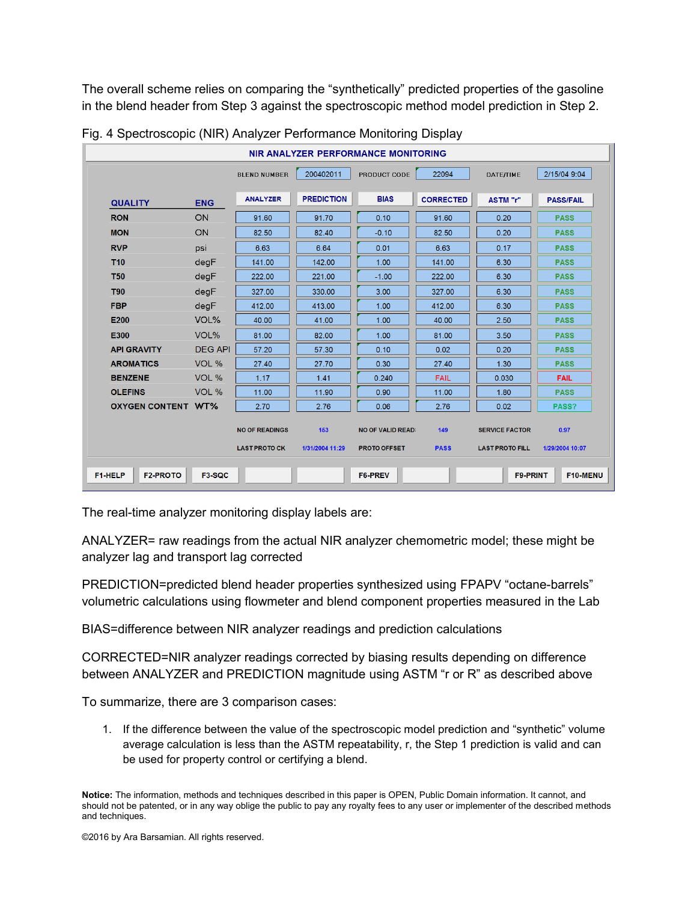The overall scheme relies on comparing the "synthetically" predicted properties of the gasoline in the blend header from Step 3 against the spectroscopic method model prediction in Step 2.

|                            | NIR ANALYZER PERFORMANCE MONITORING |                       |                   |                          |                  |                        |                  |  |  |
|----------------------------|-------------------------------------|-----------------------|-------------------|--------------------------|------------------|------------------------|------------------|--|--|
|                            |                                     | <b>BLEND NUMBER</b>   | 200402011         | PRODUCT CODE             | 22094            | <b>DATE/TIME</b>       | 2/15/04 9:04     |  |  |
| <b>QUALITY</b>             | <b>ENG</b>                          | <b>ANALYZER</b>       | <b>PREDICTION</b> | <b>BIAS</b>              | <b>CORRECTED</b> | <b>ASTM</b> "r"        | <b>PASS/FAIL</b> |  |  |
| <b>RON</b>                 | ON                                  | 91.60                 | 91.70             | 0.10                     | 91.60            | 0.20                   | <b>PASS</b>      |  |  |
| <b>MON</b>                 | ON                                  | 82.50                 | 82.40             | $-0.10$                  | 82.50            | 0.20                   | <b>PASS</b>      |  |  |
| <b>RVP</b>                 | psi                                 | 6.63                  | 6.64              | 0.01                     | 6.63             | 0.17                   | <b>PASS</b>      |  |  |
| <b>T10</b>                 | degF                                | 141.00                | 142.00            | 1.00                     | 141.00           | 6.30                   | <b>PASS</b>      |  |  |
| <b>T50</b>                 | degF                                | 222.00                | 221.00            | $-1.00$                  | 222.00           | 6.30                   | <b>PASS</b>      |  |  |
| <b>T90</b>                 | degF                                | 327.00                | 330.00            | 3.00                     | 327.00           | 6.30                   | <b>PASS</b>      |  |  |
| <b>FBP</b>                 | degF                                | 412.00                | 413.00            | 1.00                     | 412.00           | 6.30                   | <b>PASS</b>      |  |  |
| E200                       | VOL%                                | 40.00                 | 41.00             | 1.00                     | 40.00            | 2.50                   | <b>PASS</b>      |  |  |
| E300                       | VOL%                                | 81.00                 | 82.00             | 1.00                     | 81.00            | 3.50                   | <b>PASS</b>      |  |  |
| <b>API GRAVITY</b>         | <b>DEG API</b>                      | 57.20                 | 57.30             | 0.10                     | 0.02             | 0.20                   | <b>PASS</b>      |  |  |
| <b>AROMATICS</b>           | VOL %                               | 27.40                 | 27.70             | 0.30                     | 27.40            | 1.30                   | <b>PASS</b>      |  |  |
| <b>BENZENE</b>             | VOL %                               | 1.17                  | 1.41              | 0.240                    | <b>FAIL</b>      | 0.030                  | <b>FAIL</b>      |  |  |
| <b>OLEFINS</b>             | VOL %                               | 11.00                 | 11.90             | 0.90                     | 11.00            | 1.80                   | <b>PASS</b>      |  |  |
| <b>OXYGEN CONTENT WT%</b>  |                                     | 2.70                  | 2.76              | 0.06                     | 2.76             | 0.02                   | PASS?            |  |  |
|                            |                                     | <b>NO OF READINGS</b> | 153               | <b>NO OF VALID READ:</b> | 149              | <b>SERVICE FACTOR</b>  | 0.97             |  |  |
|                            |                                     | <b>LAST PROTO CK</b>  | 1/31/2004 11:29   | <b>PROTO OFFSET</b>      | <b>PASS</b>      | <b>LAST PROTO FILL</b> | 1/29/2004 10:07  |  |  |
| <b>F2-PROTO</b><br>F1-HELP | <b>F3-SQC</b>                       |                       |                   | F6-PREV                  |                  | <b>F9-PRINT</b>        | F10-MENU         |  |  |

|  |  | Fig. 4 Spectroscopic (NIR) Analyzer Performance Monitoring Display |  |
|--|--|--------------------------------------------------------------------|--|
|  |  |                                                                    |  |

The real-time analyzer monitoring display labels are:

ANALYZER= raw readings from the actual NIR analyzer chemometric model; these might be analyzer lag and transport lag corrected

PREDICTION=predicted blend header properties synthesized using FPAPV "octane-barrels" volumetric calculations using flowmeter and blend component properties measured in the Lab

BIAS=difference between NIR analyzer readings and prediction calculations

CORRECTED=NIR analyzer readings corrected by biasing results depending on difference between ANALYZER and PREDICTION magnitude using ASTM "r or R" as described above

To summarize, there are 3 comparison cases:

1. If the difference between the value of the spectroscopic model prediction and "synthetic" volume average calculation is less than the ASTM repeatability, r, the Step 1 prediction is valid and can be used for property control or certifying a blend.

**Notice:** The information, methods and techniques described in this paper is OPEN, Public Domain information. It cannot, and should not be patented, or in any way oblige the public to pay any royalty fees to any user or implementer of the described methods and techniques.